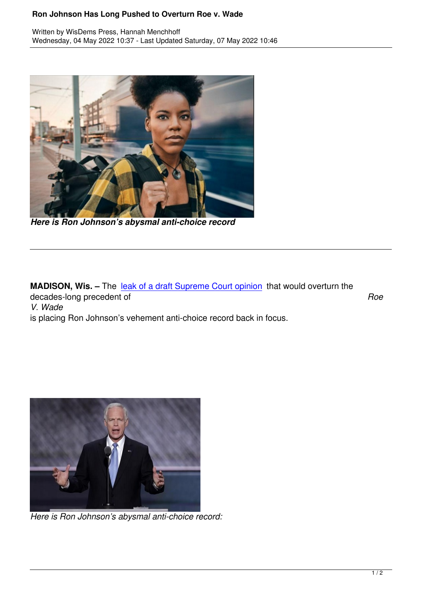

*Here is Ron Johnson's abysmal anti-choice record*

**MADISON, Wis. -** The leak of a draft Supreme Court opinion that would overturn the decades-long precedent of *Roe V. Wade* is placing Ron Johnson'[s vehement anti-choice record back in](https://wisdems.us1.list-manage.com/track/click?u=5fdce0a26f89c28febc13998d&id=3f67c1dfa3&e=c8d9c6b5a0) focus.



*Here is Ron Johnson's abysmal anti-choice record:*